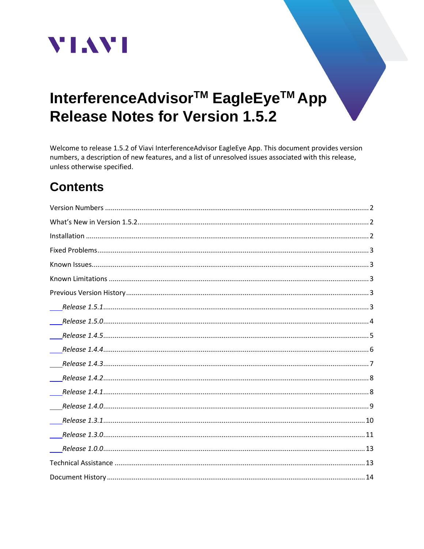

# InterferenceAdvisor<sup>™</sup> EagleEye<sup>™</sup> App **Release Notes for Version 1.5.2**

Welcome to release 1.5.2 of Viavi InterferenceAdvisor EagleEye App. This document provides version numbers, a description of new features, and a list of unresolved issues associated with this release, unless otherwise specified.

## **Contents**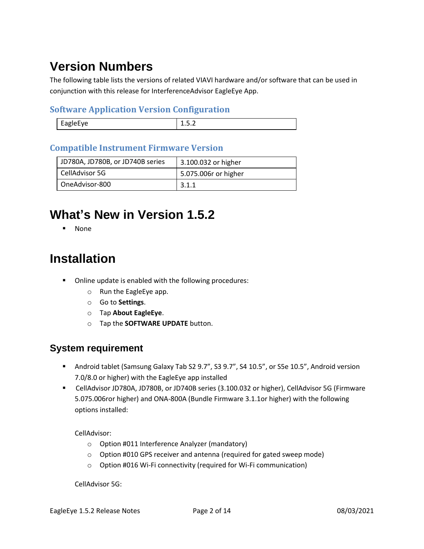# <span id="page-1-0"></span>**Version Numbers**

The following table lists the versions of related VIAVI hardware and/or software that can be used in conjunction with this release for InterferenceAdvisor EagleEye App.

#### **Software Application Version Configuration**

| ---<br>∸.∽. ∸ |
|---------------|

#### **Compatible Instrument Firmware Version**

| JD780A, JD780B, or JD740B series | 3.100.032 or higher  |
|----------------------------------|----------------------|
| CellAdvisor 5G                   | 5.075.006r or higher |
| OneAdvisor-800                   | 3.1.1                |

## <span id="page-1-1"></span>**What's New in Version 1.5.2**

▪ None

## <span id="page-1-2"></span>**Installation**

- Online update is enabled with the following procedures:
	- o Run the EagleEye app.
	- o Go to **Settings**.
	- o Tap **About EagleEye**.
	- o Tap the **SOFTWARE UPDATE** button.

#### **System requirement**

- Android tablet (Samsung Galaxy Tab S2 9.7", S3 9.7", S4 10.5", or S5e 10.5", Android version 7.0/8.0 or higher) with the EagleEye app installed
- CellAdvisor JD780A, JD780B, or JD740B series (3.100.032 or higher), CellAdvisor 5G (Firmware 5.075.006ror higher) and ONA-800A (Bundle Firmware 3.1.1or higher) with the following options installed:

CellAdvisor:

- o Option #011 Interference Analyzer (mandatory)
- o Option #010 GPS receiver and antenna (required for gated sweep mode)
- o Option #016 Wi-Fi connectivity (required for Wi-Fi communication)

CellAdvisor 5G: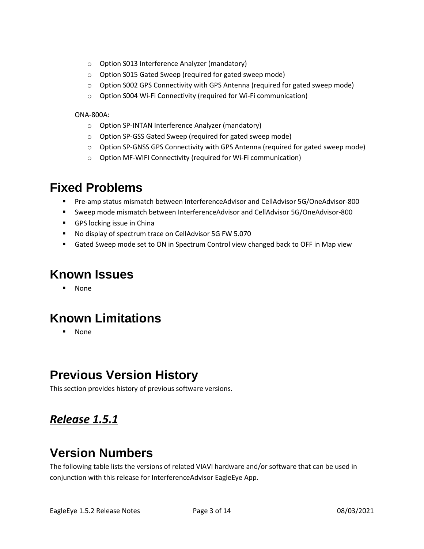- o Option S013 Interference Analyzer (mandatory)
- o Option S015 Gated Sweep (required for gated sweep mode)
- $\circ$  Option S002 GPS Connectivity with GPS Antenna (required for gated sweep mode)
- o Option S004 Wi-Fi Connectivity (required for Wi-Fi communication)

#### ONA-800A:

- o Option SP-INTAN Interference Analyzer (mandatory)
- o Option SP-GSS Gated Sweep (required for gated sweep mode)
- o Option SP-GNSS GPS Connectivity with GPS Antenna (required for gated sweep mode)
- o Option MF-WIFI Connectivity (required for Wi-Fi communication)

### <span id="page-2-0"></span>**Fixed Problems**

- Pre-amp status mismatch between InterferenceAdvisor and CellAdvisor 5G/OneAdvisor-800
- Sweep mode mismatch between InterferenceAdvisor and CellAdvisor 5G/OneAdvisor-800
- GPS locking issue in China
- No display of spectrum trace on CellAdvisor 5G FW 5.070
- Gated Sweep mode set to ON in Spectrum Control view changed back to OFF in Map view

### <span id="page-2-1"></span>**Known Issues**

▪ None

## <span id="page-2-2"></span>**Known Limitations**

▪ None

## <span id="page-2-3"></span>**Previous Version History**

This section provides history of previous software versions.

### <span id="page-2-4"></span>*Release 1.5.1*

### **Version Numbers**

The following table lists the versions of related VIAVI hardware and/or software that can be used in conjunction with this release for InterferenceAdvisor EagleEye App.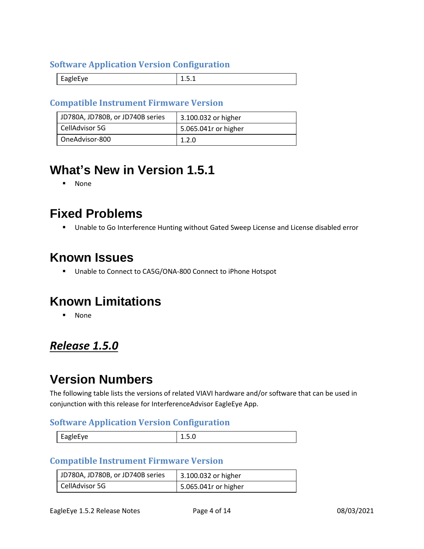#### **Software Application Version Configuration**

| ---- |
|------|
|------|

#### **Compatible Instrument Firmware Version**

| JD780A, JD780B, or JD740B series | 3.100.032 or higher  |
|----------------------------------|----------------------|
| CellAdvisor 5G                   | 5.065.041r or higher |
| OneAdvisor-800                   | 1.2.0                |

## **What's New in Version 1.5.1**

▪ None

### **Fixed Problems**

■ Unable to Go Interference Hunting without Gated Sweep License and License disabled error

## **Known Issues**

■ Unable to Connect to CA5G/ONA-800 Connect to iPhone Hotspot

### **Known Limitations**

▪ None

### <span id="page-3-0"></span>*Release 1.5.0*

## **Version Numbers**

The following table lists the versions of related VIAVI hardware and/or software that can be used in conjunction with this release for InterferenceAdvisor EagleEye App.

#### **Software Application Version Configuration**

|--|

#### **Compatible Instrument Firmware Version**

| JD780A, JD780B, or JD740B series | 3.100.032 or higher  |
|----------------------------------|----------------------|
| CellAdvisor 5G                   | 5.065.041r or higher |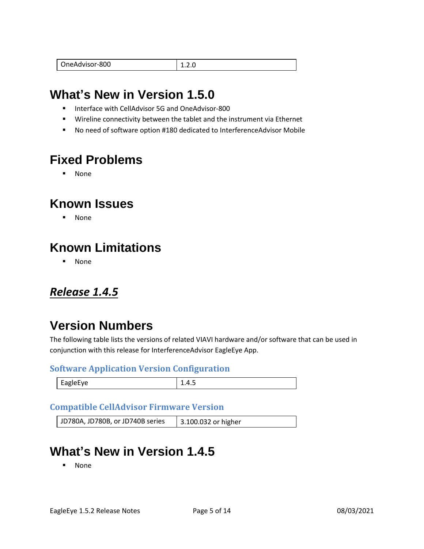|--|

## **What's New in Version 1.5.0**

- Interface with CellAdvisor 5G and OneAdvisor-800
- Wireline connectivity between the tablet and the instrument via Ethernet
- No need of software option #180 dedicated to InterferenceAdvisor Mobile

## **Fixed Problems**

▪ None

## **Known Issues**

▪ None

## **Known Limitations**

▪ None

### <span id="page-4-0"></span>*Release 1.4.5*

## **Version Numbers**

The following table lists the versions of related VIAVI hardware and/or software that can be used in conjunction with this release for InterferenceAdvisor EagleEye App.

#### **Software Application Version Configuration**

| $\sim$ $\sim$<br>EagleEye | ∸.⊤.J |
|---------------------------|-------|
|                           |       |

#### **Compatible CellAdvisor Firmware Version**

| JD780A, JD780B, or JD740B series | 3.100.032 or higher |
|----------------------------------|---------------------|
|----------------------------------|---------------------|

### **What's New in Version 1.4.5**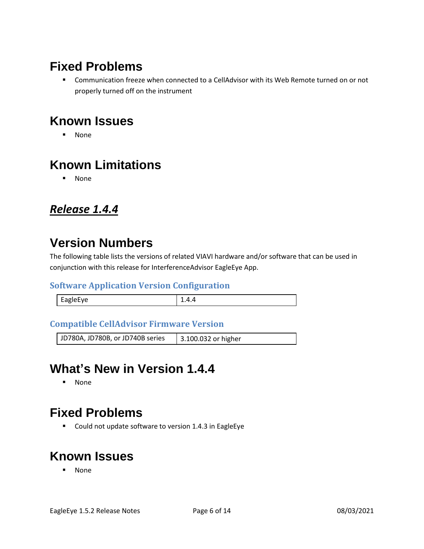## **Fixed Problems**

■ Communication freeze when connected to a CellAdvisor with its Web Remote turned on or not properly turned off on the instrument

## **Known Issues**

▪ None

## **Known Limitations**

▪ None

### <span id="page-5-0"></span>*Release 1.4.4*

## **Version Numbers**

The following table lists the versions of related VIAVI hardware and/or software that can be used in conjunction with this release for InterferenceAdvisor EagleEye App.

#### **Software Application Version Configuration**

| ⊿⊍เ⊨เ |  |
|-------|--|
|       |  |

#### **Compatible CellAdvisor Firmware Version**

| JD780A, JD780B, or JD740B series | 3.100.032 or higher |
|----------------------------------|---------------------|
|----------------------------------|---------------------|

### **What's New in Version 1.4.4**

▪ None

### **Fixed Problems**

■ Could not update software to version 1.4.3 in EagleEye

## **Known Issues**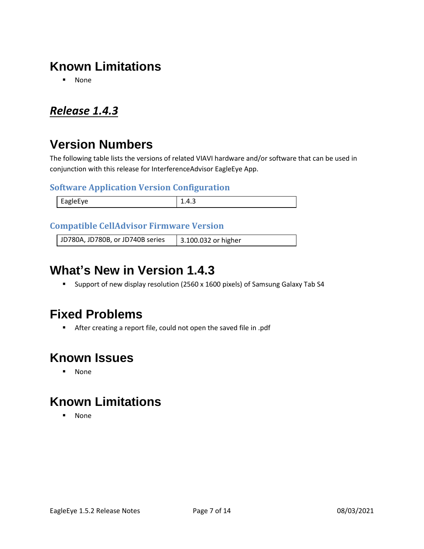## **Known Limitations**

▪ None

### <span id="page-6-0"></span>*Release 1.4.3*

## **Version Numbers**

The following table lists the versions of related VIAVI hardware and/or software that can be used in conjunction with this release for InterferenceAdvisor EagleEye App.

#### **Software Application Version Configuration**

| <b>FagleFye</b>    | – ⊷ |
|--------------------|-----|
| $\cdot$ $\sim$ $-$ |     |
|                    |     |

#### **Compatible CellAdvisor Firmware Version**

JD780A, JD780B, or JD740B series 3.100.032 or higher

## **What's New in Version 1.4.3**

■ Support of new display resolution (2560 x 1600 pixels) of Samsung Galaxy Tab S4

### **Fixed Problems**

■ After creating a report file, could not open the saved file in .pdf

## **Known Issues**

▪ None

## **Known Limitations**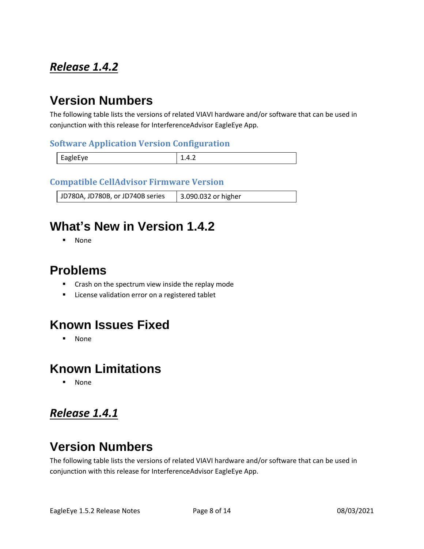## <span id="page-7-0"></span>*Release 1.4.2*

## **Version Numbers**

The following table lists the versions of related VIAVI hardware and/or software that can be used in conjunction with this release for InterferenceAdvisor EagleEye App.

#### **Software Application Version Configuration**

| <b>FARIAFVA</b><br>v J<br>$-90 - -$ | $+ \cdot + \cdot$ |
|-------------------------------------|-------------------|

#### **Compatible CellAdvisor Firmware Version**

JD780A, JD780B, or JD740B series | 3.090.032 or higher

## **What's New in Version 1.4.2**

▪ None

### **Problems**

- Crash on the spectrum view inside the replay mode
- License validation error on a registered tablet

### **Known Issues Fixed**

▪ None

### **Known Limitations**

**None** 

### <span id="page-7-1"></span>*Release 1.4.1*

## **Version Numbers**

The following table lists the versions of related VIAVI hardware and/or software that can be used in conjunction with this release for InterferenceAdvisor EagleEye App.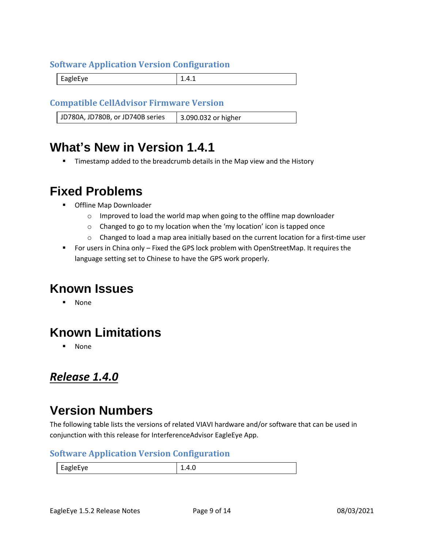#### **Software Application Version Configuration**

EagleEye 2.4.1

#### **Compatible CellAdvisor Firmware Version**

JD780A, JD780B, or JD740B series | 3.090.032 or higher

### **What's New in Version 1.4.1**

Timestamp added to the breadcrumb details in the Map view and the History

### **Fixed Problems**

- Offline Map Downloader
	- $\circ$  Improved to load the world map when going to the offline map downloader
	- o Changed to go to my location when the 'my location' icon is tapped once
	- $\circ$  Changed to load a map area initially based on the current location for a first-time user
- For users in China only Fixed the GPS lock problem with OpenStreetMap. It requires the language setting set to Chinese to have the GPS work properly.

### **Known Issues**

**None** 

## **Known Limitations**

**None** 

### <span id="page-8-0"></span>*Release 1.4.0*

### **Version Numbers**

The following table lists the versions of related VIAVI hardware and/or software that can be used in conjunction with this release for InterferenceAdvisor EagleEye App.

#### **Software Application Version Configuration**

EagleEye 1.4.0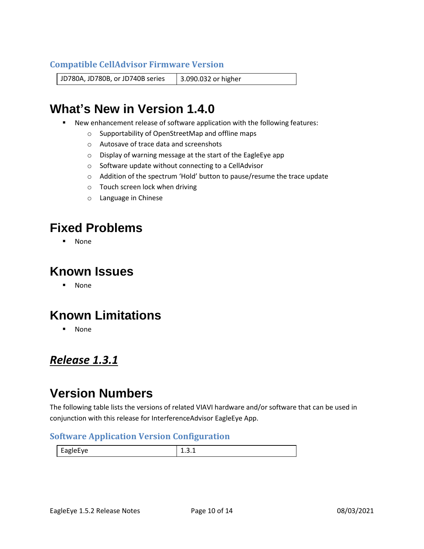#### **Compatible CellAdvisor Firmware Version**

JD780A, JD780B, or JD740B series | 3.090.032 or higher

## **What's New in Version 1.4.0**

- New enhancement release of software application with the following features:
	- o Supportability of OpenStreetMap and offline maps
	- o Autosave of trace data and screenshots
	- o Display of warning message at the start of the EagleEye app
	- o Software update without connecting to a CellAdvisor
	- o Addition of the spectrum 'Hold' button to pause/resume the trace update
	- o Touch screen lock when driving
	- o Language in Chinese

### **Fixed Problems**

▪ None

### **Known Issues**

▪ None

## **Known Limitations**

▪ None

### <span id="page-9-0"></span>*Release 1.3.1*

### **Version Numbers**

The following table lists the versions of related VIAVI hardware and/or software that can be used in conjunction with this release for InterferenceAdvisor EagleEye App.

#### **Software Application Version Configuration**

| <b>FagleFve</b><br>$-5.7$ | . |
|---------------------------|---|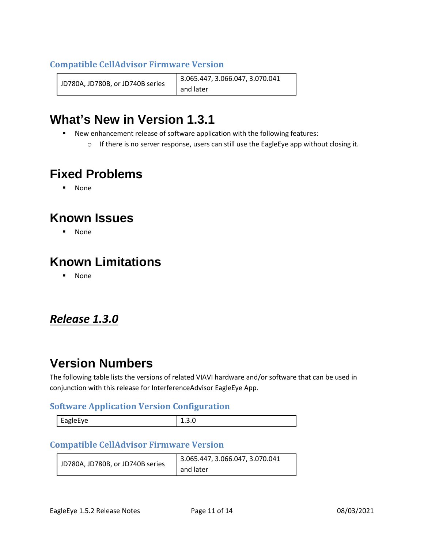#### **Compatible CellAdvisor Firmware Version**

JD780A, JD780B, or JD740B series 3.065.447, 3.066.047, 3.070.041 and later

## **What's New in Version 1.3.1**

- New enhancement release of software application with the following features:
	- $\circ$  If there is no server response, users can still use the EagleEye app without closing it.

## **Fixed Problems**

▪ None

## **Known Issues**

▪ None

## **Known Limitations**

▪ None

### <span id="page-10-0"></span>*Release 1.3.0*

### **Version Numbers**

The following table lists the versions of related VIAVI hardware and/or software that can be used in conjunction with this release for InterferenceAdvisor EagleEye App.

#### **Software Application Version Configuration**

| <b>ADIAFVA</b> | <br>____ |
|----------------|----------|
|                |          |

#### **Compatible CellAdvisor Firmware Version**

|  | 3.065.447, 3.066.047, 3.070.041  |           |
|--|----------------------------------|-----------|
|  | JD780A, JD780B, or JD740B series | and later |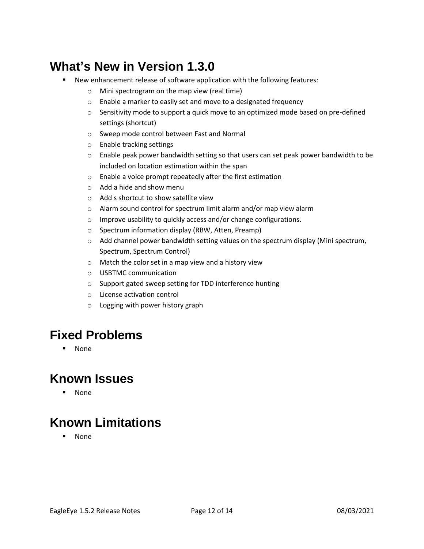## **What's New in Version 1.3.0**

- New enhancement release of software application with the following features:
	- o Mini spectrogram on the map view (real time)
	- o Enable a marker to easily set and move to a designated frequency
	- $\circ$  Sensitivity mode to support a quick move to an optimized mode based on pre-defined settings (shortcut)
	- o Sweep mode control between Fast and Normal
	- o Enable tracking settings
	- $\circ$  Enable peak power bandwidth setting so that users can set peak power bandwidth to be included on location estimation within the span
	- o Enable a voice prompt repeatedly after the first estimation
	- o Add a hide and show menu
	- o Add s shortcut to show satellite view
	- o Alarm sound control for spectrum limit alarm and/or map view alarm
	- o Improve usability to quickly access and/or change configurations.
	- o Spectrum information display (RBW, Atten, Preamp)
	- $\circ$  Add channel power bandwidth setting values on the spectrum display (Mini spectrum, Spectrum, Spectrum Control)
	- o Match the color set in a map view and a history view
	- o USBTMC communication
	- o Support gated sweep setting for TDD interference hunting
	- o License activation control
	- o Logging with power history graph

## **Fixed Problems**

▪ None

## **Known Issues**

▪ None

## **Known Limitations**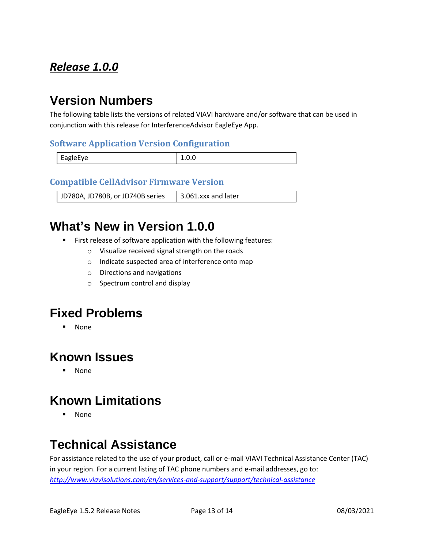## <span id="page-12-0"></span>*Release 1.0.0*

## **Version Numbers**

The following table lists the versions of related VIAVI hardware and/or software that can be used in conjunction with this release for InterferenceAdvisor EagleEye App.

#### **Software Application Version Configuration**

| EagleEye | ⊥.∪.∪ |
|----------|-------|

#### **Compatible CellAdvisor Firmware Version**

JD780A, JD780B, or JD740B series | 3.061.xxx and later

## **What's New in Version 1.0.0**

- First release of software application with the following features:
	- o Visualize received signal strength on the roads
	- o Indicate suspected area of interference onto map
	- o Directions and navigations
	- o Spectrum control and display

### **Fixed Problems**

▪ None

### **Known Issues**

▪ None

## **Known Limitations**

▪ None

## <span id="page-12-1"></span>**Technical Assistance**

For assistance related to the use of your product, call or e-mail VIAVI Technical Assistance Center (TAC) in your region. For a current listing of TAC phone numbers and e-mail addresses, go to: *<http://www.viavisolutions.com/en/services-and-support/support/technical-assistance>*